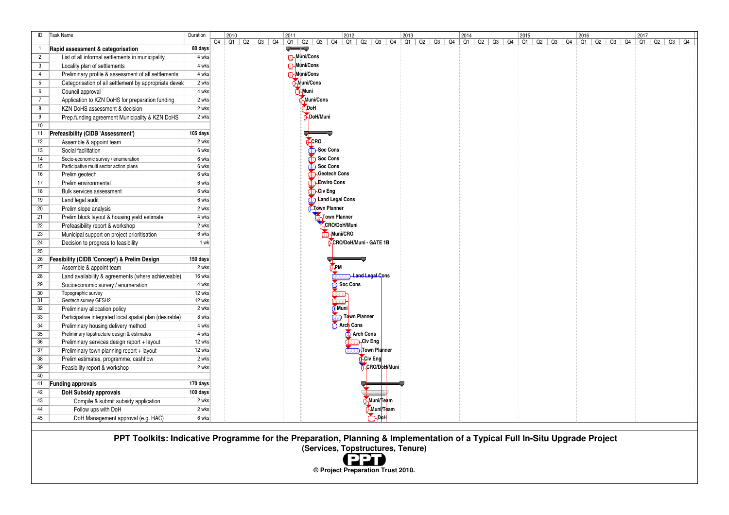| ID                    | <b>Task Name</b>                                                               | Duration           | 2010 |                        | 2011        |                                 |                              |              |                        |  |  |  |  |  |  | 2017 |                   |
|-----------------------|--------------------------------------------------------------------------------|--------------------|------|------------------------|-------------|---------------------------------|------------------------------|--------------|------------------------|--|--|--|--|--|--|------|-------------------|
|                       |                                                                                |                    |      | Q4   Q1   Q2   Q3   Q4 | <b>UWW.</b> |                                 |                              |              |                        |  |  |  |  |  |  |      | Q1   Q2   Q3   Q4 |
| $\mathbf{1}$          | Rapid assessment & categorisation                                              | 80 days<br>4 wks   |      |                        |             | <b>B</b> Muni/Cons              |                              |              |                        |  |  |  |  |  |  |      |                   |
| $\overline{2}$        | List of all informal settlements in municipality                               | 4 wks              |      |                        |             |                                 |                              |              |                        |  |  |  |  |  |  |      |                   |
| 3                     | Locality plan of settlements                                                   | 4 wks              |      |                        |             | <b>O-Muni/Cons</b><br>Muni/Cons |                              |              |                        |  |  |  |  |  |  |      |                   |
| $\overline{4}$        | Preliminary profile & assessment of all settlements                            |                    |      |                        |             |                                 |                              |              |                        |  |  |  |  |  |  |      |                   |
| 5                     | Categorisation of all settlement by appropriate develo                         | 2 wks              |      |                        |             | Muni/Cons<br>Muni               |                              |              |                        |  |  |  |  |  |  |      |                   |
| 6                     | Council approval                                                               | 4 wks              |      |                        |             |                                 |                              |              |                        |  |  |  |  |  |  |      |                   |
| $7\overline{ }$       | Application to KZN DoHS for preparation funding                                | 2 wks              |      |                        |             | Muni/Cons                       |                              |              |                        |  |  |  |  |  |  |      |                   |
| 8                     | KZN DoHS assessment & decision                                                 | 2 wks              |      |                        |             | <b>NDoH</b>                     |                              |              |                        |  |  |  |  |  |  |      |                   |
| 9                     | Prep.funding agreement Municipality & KZN DoHS                                 | 2 wks              |      |                        |             | DoH/Muni                        |                              |              |                        |  |  |  |  |  |  |      |                   |
| 10 <sup>°</sup>       |                                                                                | 105 days           |      |                        |             | J-                              |                              |              |                        |  |  |  |  |  |  |      |                   |
| 11<br>12              | Prefeasibility (CIDB 'Assessment')                                             | 2 wks              |      |                        |             | <b>O</b> CRO                    |                              |              |                        |  |  |  |  |  |  |      |                   |
| 13                    | Assemble & appoint team<br>Social facilitation                                 | 6 wks              |      |                        |             | <b>CD-Soc Cons</b>              |                              |              |                        |  |  |  |  |  |  |      |                   |
|                       |                                                                                |                    |      |                        |             | <b>Soc Cons</b>                 |                              |              |                        |  |  |  |  |  |  |      |                   |
| 14<br>15 <sub>1</sub> | Socio-economic survey / enumeration<br>Participative multi sector action plans | 6 wks<br>6 wks     |      |                        |             | <b>O</b> Soc Cons               |                              |              |                        |  |  |  |  |  |  |      |                   |
| 16                    | Prelim geotech                                                                 | 6 wks              |      |                        |             |                                 | Geotech Cons                 |              |                        |  |  |  |  |  |  |      |                   |
| 17                    | Prelim environmental                                                           | 6 wks              |      |                        |             |                                 | aJ <mark>‡</mark> nviro Cons |              |                        |  |  |  |  |  |  |      |                   |
| 18                    | Bulk services assessment                                                       | 6 wks              |      |                        |             | <b>Co</b> -Civ Eng              |                              |              |                        |  |  |  |  |  |  |      |                   |
| 19                    |                                                                                | 6 wks              |      |                        |             | <b>Land Legal Cons</b>          |                              |              |                        |  |  |  |  |  |  |      |                   |
| 20                    | Land legal audit<br>Prelim slope analysis                                      | 2 wks              |      |                        |             | <b>C</b> Town Planner           |                              |              |                        |  |  |  |  |  |  |      |                   |
| 21                    |                                                                                | 4 wks              |      |                        |             |                                 | Town Planner                 |              |                        |  |  |  |  |  |  |      |                   |
|                       | Prelim block layout & housing yield estimate                                   | 2 wks              |      |                        |             |                                 | CRO/DoH/Muni                 |              |                        |  |  |  |  |  |  |      |                   |
| 22                    | Prefeasibility report & workshop                                               |                    |      |                        |             |                                 | Muni/CRO                     |              |                        |  |  |  |  |  |  |      |                   |
| 23                    | Municipal support on project prioritisation                                    | 6 wks              |      |                        |             |                                 |                              |              |                        |  |  |  |  |  |  |      |                   |
| 24                    | Decision to progress to feasibility                                            | 1 wk               |      |                        |             |                                 |                              |              | CRO/DoH/Muni - GATE 1B |  |  |  |  |  |  |      |                   |
| 25<br>26              |                                                                                | 150 days           |      |                        |             |                                 |                              |              |                        |  |  |  |  |  |  |      |                   |
| 27                    | Feasibility (CIDB 'Concept') & Prelim Design                                   | 2 wks              |      |                        |             |                                 | <b>FPM</b>                   |              |                        |  |  |  |  |  |  |      |                   |
|                       | Assemble & appoint team                                                        |                    |      |                        |             |                                 |                              |              | <b>Land Legal Cons</b> |  |  |  |  |  |  |      |                   |
| 28                    | Land availability & agreements (where achieveable)                             | 16 wks<br>4 wks    |      |                        |             |                                 |                              | Soc Cons     |                        |  |  |  |  |  |  |      |                   |
| 29                    | Socioeconomic survey / enumeration                                             | 12 wks             |      |                        |             |                                 |                              |              |                        |  |  |  |  |  |  |      |                   |
| 30<br>31              | Topographic survey<br>Geotech survey GFSH2                                     | 12 wks             |      |                        |             |                                 |                              |              |                        |  |  |  |  |  |  |      |                   |
| 32                    | Preliminary allocation policy                                                  | 2 wks              |      |                        |             |                                 | <b>Muni</b>                  |              |                        |  |  |  |  |  |  |      |                   |
| 33                    | Participative integrated local spatial plan (desirable)                        | 8 wks              |      |                        |             |                                 |                              | Town Planner |                        |  |  |  |  |  |  |      |                   |
| 34                    | Preliminary housing delivery method                                            | 4 wks              |      |                        |             |                                 |                              | Arch Cons    |                        |  |  |  |  |  |  |      |                   |
| 35                    | Preliminary topstructure design & estimates                                    | 4 wks              |      |                        |             |                                 |                              | Arch Cons    |                        |  |  |  |  |  |  |      |                   |
| 36                    | Preliminary services design report + layout                                    | 12 wks             |      |                        |             |                                 |                              |              | Civ Eng                |  |  |  |  |  |  |      |                   |
| 37                    | Preliminary town planning report + layout                                      | 12 wks             |      |                        |             |                                 |                              |              | Town Planner           |  |  |  |  |  |  |      |                   |
| 38                    | Prelim estimates, programme, cashflow                                          | 2 wks              |      |                        |             |                                 |                              |              | Civ Eng                |  |  |  |  |  |  |      |                   |
| 39                    | Feasibility report & workshop                                                  | 2 wks              |      |                        |             |                                 |                              |              | CRO/DoH/Muni           |  |  |  |  |  |  |      |                   |
| 40                    |                                                                                |                    |      |                        |             |                                 |                              |              |                        |  |  |  |  |  |  |      |                   |
| 41                    | Funding approvals                                                              | 170 days           |      |                        |             |                                 |                              |              |                        |  |  |  |  |  |  |      |                   |
| 42                    | <b>DoH Subsidy approvals</b>                                                   | $100 \text{ days}$ |      |                        |             |                                 |                              |              |                        |  |  |  |  |  |  |      |                   |
| 43                    | Compile & submit subsidy application                                           | 2 wks              |      |                        |             |                                 |                              |              | Muni/Team              |  |  |  |  |  |  |      |                   |
| 44                    | Follow ups with DoH                                                            | 2 wks              |      |                        |             |                                 |                              |              | Muni/Team              |  |  |  |  |  |  |      |                   |
| 45                    | DoH Management approval (e.g. HAC)                                             | 6 wks              |      |                        |             |                                 |                              |              | <b>SAPPH</b>           |  |  |  |  |  |  |      |                   |

 **PPT Toolkits: Indicative Programme for the Preparation, Planning & Implementation of a Typical Full In-Situ Upgrade Project (Services, Topstructures, Tenure)** 



**© Project Preparation Trust 2010.**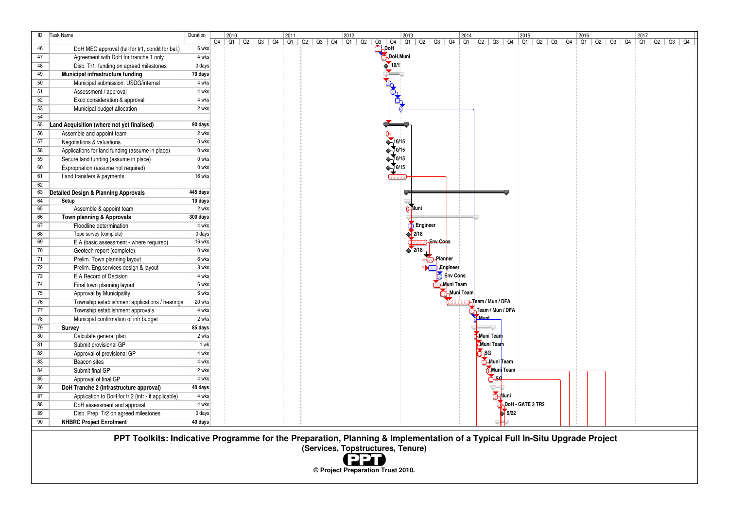| ID | Task Name                                          | Duration         | 2010 |  | 2011 |                                                                                                                                                               |  |             |               |                   |                               |           |                  |                    |                  |  |  | 2017 |                   |  |
|----|----------------------------------------------------|------------------|------|--|------|---------------------------------------------------------------------------------------------------------------------------------------------------------------|--|-------------|---------------|-------------------|-------------------------------|-----------|------------------|--------------------|------------------|--|--|------|-------------------|--|
|    |                                                    |                  |      |  |      | $\begin{array}{ c c c c c c c c }\n\hline\n & 2010 & & 2011 & & 2012 \\ \hline\nQ4 & Q1 & Q2 & Q3 & Q4 & Q1 & Q2 & Q3 & Q4 & Q1 & Q2 & \ \hline\n\end{array}$ |  | $Q3$ $Q4$   |               |                   |                               |           |                  |                    |                  |  |  |      | Q1   Q2   Q3   Q4 |  |
| 46 | DoH MEC approval (full for tr1, condit for bal.)   | 6 wks            |      |  |      |                                                                                                                                                               |  | <b>NDoH</b> |               |                   |                               |           |                  |                    |                  |  |  |      |                   |  |
| 47 | Agreement with DoH for tranche 1 only              | 4 wks            |      |  |      |                                                                                                                                                               |  |             | DoH, Muni     |                   |                               |           |                  |                    |                  |  |  |      |                   |  |
| 48 | Disb. Tr1. funding on agreed milestones            | $0 \text{ days}$ |      |  |      |                                                                                                                                                               |  |             | $\sqrt{10/1}$ |                   |                               |           |                  |                    |                  |  |  |      |                   |  |
| 49 | Municipal infrastructure funding                   | 70 days          |      |  |      |                                                                                                                                                               |  |             |               |                   |                               |           |                  |                    |                  |  |  |      |                   |  |
| 50 | Municipal submission: USDG/internal                | 4 wks            |      |  |      |                                                                                                                                                               |  |             |               |                   |                               |           |                  |                    |                  |  |  |      |                   |  |
| 51 | Assessment / approval                              | 4 wks            |      |  |      |                                                                                                                                                               |  |             |               |                   |                               |           |                  |                    |                  |  |  |      |                   |  |
| 52 | Exco consideration & approval                      | 4 wks            |      |  |      |                                                                                                                                                               |  |             |               |                   |                               |           |                  |                    |                  |  |  |      |                   |  |
| 53 | Municipal budget allocation                        | 2 wks            |      |  |      |                                                                                                                                                               |  |             |               |                   |                               |           |                  |                    |                  |  |  |      |                   |  |
| 54 |                                                    |                  |      |  |      |                                                                                                                                                               |  |             |               |                   |                               |           |                  |                    |                  |  |  |      |                   |  |
| 55 | Land Acquisition (where not yet finalised)         | 90 days          |      |  |      |                                                                                                                                                               |  |             |               |                   |                               |           |                  |                    |                  |  |  |      |                   |  |
| 56 | Assemble and appoint team                          | 2 wks            |      |  |      |                                                                                                                                                               |  |             |               |                   |                               |           |                  |                    |                  |  |  |      |                   |  |
| 57 | Negotiations & valuations                          | 0 wks            |      |  |      |                                                                                                                                                               |  |             | 0             |                   |                               |           |                  |                    |                  |  |  |      |                   |  |
| 58 | Applications for land funding (assume in place)    | 0 wks            |      |  |      |                                                                                                                                                               |  |             |               |                   |                               |           |                  |                    |                  |  |  |      |                   |  |
| 59 | Secure land funding (assume in place)              | 0 wks            |      |  |      |                                                                                                                                                               |  |             |               |                   |                               |           |                  |                    |                  |  |  |      |                   |  |
| 60 | Expropriation (assume not required)                | 0 wks            |      |  |      |                                                                                                                                                               |  |             |               |                   |                               |           |                  |                    |                  |  |  |      |                   |  |
| 61 | Land transfers & payments                          | 16 wks           |      |  |      |                                                                                                                                                               |  |             |               |                   |                               |           |                  |                    |                  |  |  |      |                   |  |
| 62 |                                                    |                  |      |  |      |                                                                                                                                                               |  |             |               |                   |                               |           |                  |                    |                  |  |  |      |                   |  |
| 63 | <b>Detailed Design &amp; Planning Approvals</b>    | 445 days         |      |  |      |                                                                                                                                                               |  |             |               |                   |                               |           |                  |                    |                  |  |  |      |                   |  |
| 64 | Setup                                              | 10 days          |      |  |      |                                                                                                                                                               |  |             |               |                   |                               |           |                  |                    |                  |  |  |      |                   |  |
| 65 | Assemble & appoint team                            | 2 wks            |      |  |      |                                                                                                                                                               |  |             |               | <b>B</b> Muni     |                               |           |                  |                    |                  |  |  |      |                   |  |
| 66 | Town planning & Approvals                          | 300 days         |      |  |      |                                                                                                                                                               |  |             |               |                   |                               |           |                  |                    |                  |  |  |      |                   |  |
| 67 | Floodline determination                            | 4 wks            |      |  |      |                                                                                                                                                               |  |             |               | <b>D</b> Engineer |                               |           |                  |                    |                  |  |  |      |                   |  |
| 68 | Topo survey (complete)                             | 0 days           |      |  |      |                                                                                                                                                               |  |             |               | $\sqrt{2/18}$     |                               |           |                  |                    |                  |  |  |      |                   |  |
| 69 | EIA (basic assessment - where required)            | 16 wks           |      |  |      |                                                                                                                                                               |  |             |               |                   | <b>Env Cors</b>               |           |                  |                    |                  |  |  |      |                   |  |
| 70 | Geotech report (complete)                          | 0 wks            |      |  |      |                                                                                                                                                               |  |             |               | 2/18              |                               |           |                  |                    |                  |  |  |      |                   |  |
| 71 | Prelim. Town planning layout                       | 6 wks            |      |  |      |                                                                                                                                                               |  |             |               |                   | <b><i><u>A</u>Planner</i></b> |           |                  |                    |                  |  |  |      |                   |  |
| 72 | Prelim. Eng.services design & layout               | 8 wks            |      |  |      |                                                                                                                                                               |  |             |               |                   | <b>⊩Enqineer</b>              |           |                  |                    |                  |  |  |      |                   |  |
| 73 | EIA Record of Decision                             | 4 wks            |      |  |      |                                                                                                                                                               |  |             |               |                   | Env Cons                      |           |                  |                    |                  |  |  |      |                   |  |
| 74 | Final town planning layout                         | 6 wks            |      |  |      |                                                                                                                                                               |  |             |               |                   | .<br>∋Muni Team               |           |                  |                    |                  |  |  |      |                   |  |
| 75 | Approval by Municipality                           | 6 wks            |      |  |      |                                                                                                                                                               |  |             |               |                   |                               | Muni Team |                  |                    |                  |  |  |      |                   |  |
| 76 | Township establishment applications / hearings     | 20 wks           |      |  |      |                                                                                                                                                               |  |             |               |                   |                               |           | Team / Mun / DFA |                    |                  |  |  |      |                   |  |
| 77 | Township establishment approvals                   | 4 wks            |      |  |      |                                                                                                                                                               |  |             |               |                   |                               |           | Team / Mun / DFA |                    |                  |  |  |      |                   |  |
| 78 | Municipal confirmation of infr budget              | 2 wks            |      |  |      |                                                                                                                                                               |  |             |               |                   |                               |           | Muni             |                    |                  |  |  |      |                   |  |
| 79 | Survey                                             | 85 days          |      |  |      |                                                                                                                                                               |  |             |               |                   |                               |           |                  |                    |                  |  |  |      |                   |  |
| 80 | Calculate general plan                             | 2 wks            |      |  |      |                                                                                                                                                               |  |             |               |                   |                               |           | Muni Team        |                    |                  |  |  |      |                   |  |
| 81 | Submit provisional GP                              | 1 wk             |      |  |      |                                                                                                                                                               |  |             |               |                   |                               |           | Muni Team        |                    |                  |  |  |      |                   |  |
| 82 | Approval of provisional GP                         | 4 wks            |      |  |      |                                                                                                                                                               |  |             |               |                   |                               |           | <b>ASG</b>       |                    |                  |  |  |      |                   |  |
| 83 | Beacon sites                                       | 4 wks            |      |  |      |                                                                                                                                                               |  |             |               |                   |                               |           | Muni Team        |                    |                  |  |  |      |                   |  |
| 84 | Submit final GP                                    | 2 wks            |      |  |      |                                                                                                                                                               |  |             |               |                   |                               |           |                  | Muni Tean          |                  |  |  |      |                   |  |
| 85 | Approval of final GP                               | 4 wks            |      |  |      |                                                                                                                                                               |  |             |               |                   |                               |           | ्रें⊱५           |                    |                  |  |  |      |                   |  |
| 86 | DoH Tranche 2 (infrastructure approval)            | 40 days          |      |  |      |                                                                                                                                                               |  |             |               |                   |                               |           |                  |                    |                  |  |  |      |                   |  |
| 87 | Application to DoH for tr 2 (infr - if applicable) | 4 wks            |      |  |      |                                                                                                                                                               |  |             |               |                   |                               |           |                  | <b>⊦√</b> luni     |                  |  |  |      |                   |  |
| 88 | DoH assessment and approval                        | 4 wks            |      |  |      |                                                                                                                                                               |  |             |               |                   |                               |           |                  |                    | DoH - GATE 3 TR2 |  |  |      |                   |  |
| 89 | Disb. Prep. Tr2 on agreed milestones               | 0 days           |      |  |      |                                                                                                                                                               |  |             |               |                   |                               |           |                  | $\frac{1}{2}$ 9/22 |                  |  |  |      |                   |  |
| 90 | <b>NHBRC Project Enrolment</b>                     | 40 days          |      |  |      |                                                                                                                                                               |  |             |               |                   |                               |           |                  |                    |                  |  |  |      |                   |  |

 **PPT Toolkits: Indicative Programme for the Preparation, Planning & Implementation of a Typical Full In-Situ Upgrade Project**

**(Services, Topstructures, Tenure)** (22)

**© Project Preparation Trust 2010.**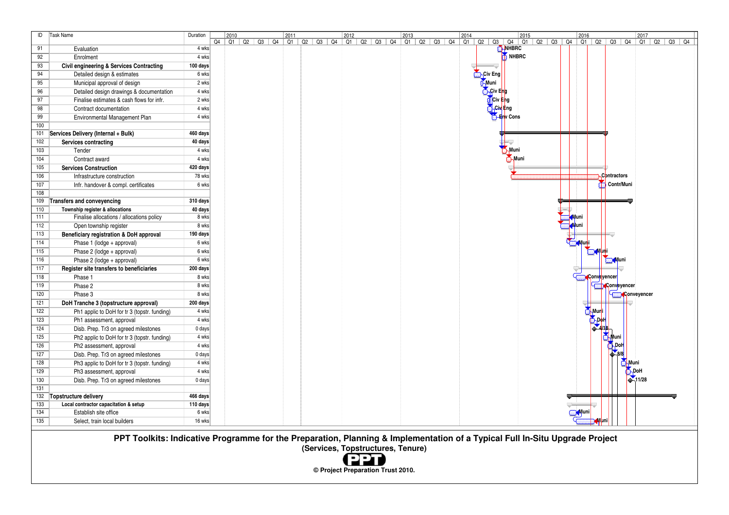| ID               | Task Name                                           | Duration |  |  |  |  |  |  |  |  | 2014 |               |                           |                   | 2015 |  |               |      |                      |             |                    |  |  |
|------------------|-----------------------------------------------------|----------|--|--|--|--|--|--|--|--|------|---------------|---------------------------|-------------------|------|--|---------------|------|----------------------|-------------|--------------------|--|--|
|                  |                                                     |          |  |  |  |  |  |  |  |  |      |               |                           |                   |      |  |               |      |                      |             |                    |  |  |
| 91               | Evaluation                                          | 4 wks    |  |  |  |  |  |  |  |  |      |               |                           | NHBRC             |      |  |               |      |                      |             |                    |  |  |
| 92               | Enrolment                                           | 4 wks    |  |  |  |  |  |  |  |  |      |               |                           | NHBRC             |      |  |               |      |                      |             |                    |  |  |
| 93               | <b>Civil engineering &amp; Services Contracting</b> | 100 days |  |  |  |  |  |  |  |  |      |               |                           |                   |      |  |               |      |                      |             |                    |  |  |
| 94               | Detailed design & estimates                         | 6 wks    |  |  |  |  |  |  |  |  |      | Civ Eng       |                           |                   |      |  |               |      |                      |             |                    |  |  |
| 95               | Municipal approval of design                        | 2 wks    |  |  |  |  |  |  |  |  |      | <b>C</b> Muni |                           |                   |      |  |               |      |                      |             |                    |  |  |
| 96               | Detailed design drawings & documentation            | 4 wks    |  |  |  |  |  |  |  |  |      |               | <b>A</b> Civ Eng          |                   |      |  |               |      |                      |             |                    |  |  |
| 97               | Finalise estimates & cash flows for infr.           | 2 wks    |  |  |  |  |  |  |  |  |      |               | Civ Eng                   |                   |      |  |               |      |                      |             |                    |  |  |
| 98               | Contract documentation                              | 4 wks    |  |  |  |  |  |  |  |  |      |               | <b>Civ</b> <sup>Eng</sup> |                   |      |  |               |      |                      |             |                    |  |  |
| 99               | Environmental Management Plan                       | 4 wks    |  |  |  |  |  |  |  |  |      |               |                           | <b>S</b> Env Cons |      |  |               |      |                      |             |                    |  |  |
| 100              |                                                     |          |  |  |  |  |  |  |  |  |      |               |                           |                   |      |  |               |      |                      |             |                    |  |  |
| 101              | Services Delivery (Internal + Bulk)                 | 460 days |  |  |  |  |  |  |  |  |      |               |                           |                   |      |  |               |      |                      |             |                    |  |  |
| 102              | Services contracting                                | 40 days  |  |  |  |  |  |  |  |  |      |               |                           |                   |      |  |               |      |                      |             |                    |  |  |
| 103              | Tender                                              | $4$ wks  |  |  |  |  |  |  |  |  |      |               |                           | Muni              |      |  |               |      |                      |             |                    |  |  |
| 104              | Contract award                                      | 4 wks    |  |  |  |  |  |  |  |  |      |               |                           | $M$ uni           |      |  |               |      |                      |             |                    |  |  |
| $\overline{105}$ | <b>Services Construction</b>                        | 420 days |  |  |  |  |  |  |  |  |      |               |                           |                   |      |  | -11           |      |                      |             |                    |  |  |
| 106              | Infrastructure construction                         | 78 wks   |  |  |  |  |  |  |  |  |      |               |                           |                   |      |  |               |      | Contractors          |             |                    |  |  |
| 107              | Infr. handover & compl. certificates                | 6 wks    |  |  |  |  |  |  |  |  |      |               |                           |                   |      |  |               |      | Contr/Muni           |             |                    |  |  |
| 108              |                                                     |          |  |  |  |  |  |  |  |  |      |               |                           |                   |      |  |               |      |                      |             |                    |  |  |
| 109              | <b>Transfers and conveyencing</b>                   | 310 days |  |  |  |  |  |  |  |  |      |               |                           |                   |      |  |               |      |                      |             |                    |  |  |
| 110              | Township register & allocations                     | 40 days  |  |  |  |  |  |  |  |  |      |               |                           |                   |      |  |               |      |                      |             |                    |  |  |
| 111              | Finalise allocations / allocations policy           | 8 wks    |  |  |  |  |  |  |  |  |      |               |                           |                   |      |  | <b>Muni</b>   |      |                      |             |                    |  |  |
| 112              | Open township register                              | 8 wks    |  |  |  |  |  |  |  |  |      |               |                           |                   |      |  | <b>A</b> luni |      |                      |             |                    |  |  |
| $\overline{113}$ | Beneficiary registration & DoH approval             | 190 days |  |  |  |  |  |  |  |  |      |               |                           |                   |      |  |               |      |                      |             |                    |  |  |
| 114              | Phase 1 (lodge + approval)                          | 6 wks    |  |  |  |  |  |  |  |  |      |               |                           |                   |      |  | <b>Muni</b>   |      |                      |             |                    |  |  |
| $\overline{115}$ | Phase 2 (lodge + approval)                          | 6 wks    |  |  |  |  |  |  |  |  |      |               |                           |                   |      |  |               |      |                      |             |                    |  |  |
| $\overline{116}$ | Phase 2 (lodge + approval)                          | 6 wks    |  |  |  |  |  |  |  |  |      |               |                           |                   |      |  |               |      |                      |             |                    |  |  |
| 117              | Register site transfers to beneficiaries            | 200 days |  |  |  |  |  |  |  |  |      |               |                           |                   |      |  |               |      |                      |             |                    |  |  |
| 118              | Phase 1                                             | 8 wks    |  |  |  |  |  |  |  |  |      |               |                           |                   |      |  |               |      | <b>A</b> Conveyencer |             |                    |  |  |
| 119              | Phase 2                                             | 8 wks    |  |  |  |  |  |  |  |  |      |               |                           |                   |      |  |               |      | Conveyencer          |             |                    |  |  |
| 120              | Phase 3                                             | 8 wks    |  |  |  |  |  |  |  |  |      |               |                           |                   |      |  |               |      |                      |             | <b>Conveyencer</b> |  |  |
| 121              | DoH Tranche 3 (topstructure approval)               | 200 days |  |  |  |  |  |  |  |  |      |               |                           |                   |      |  |               |      |                      |             |                    |  |  |
| 122              | Ph1 applic to DoH for tr 3 (topstr. funding)        | 4 wks    |  |  |  |  |  |  |  |  |      |               |                           |                   |      |  |               | Muri |                      |             |                    |  |  |
| 123              | Ph1 assessment, approval                            | 4 wks    |  |  |  |  |  |  |  |  |      |               |                           |                   |      |  |               | ҕ҈҃ҏ |                      |             |                    |  |  |
| 124              | Disb. Prep. Tr3 on agreed milestones                | 0 days   |  |  |  |  |  |  |  |  |      |               |                           |                   |      |  |               |      |                      |             |                    |  |  |
| 125              | Ph2 applic to DoH for tr 3 (topstr. funding)        | 4 wks    |  |  |  |  |  |  |  |  |      |               |                           |                   |      |  |               |      |                      |             |                    |  |  |
| 126              | Ph2 assessment, approval                            | 4 wks    |  |  |  |  |  |  |  |  |      |               |                           |                   |      |  |               |      | -Dol                 |             |                    |  |  |
| 127              | Disb. Prep. Tr3 on agreed milestones                | 0 days   |  |  |  |  |  |  |  |  |      |               |                           |                   |      |  |               |      |                      |             |                    |  |  |
| 128              | Ph3 applic to DoH for tr 3 (topstr. funding)        | 4 wks    |  |  |  |  |  |  |  |  |      |               |                           |                   |      |  |               |      |                      |             |                    |  |  |
| 129              | Ph3 assessment, approval                            | 4 wks    |  |  |  |  |  |  |  |  |      |               |                           |                   |      |  |               |      |                      | <b>ADoH</b> |                    |  |  |
| 130              | Disb. Prep. Tr3 on agreed milestones                | 0 days   |  |  |  |  |  |  |  |  |      |               |                           |                   |      |  |               |      |                      |             | $-11/28$           |  |  |
| $\overline{131}$ |                                                     |          |  |  |  |  |  |  |  |  |      |               |                           |                   |      |  |               |      |                      |             |                    |  |  |
| $\overline{132}$ | Topstructure delivery                               | 466 days |  |  |  |  |  |  |  |  |      |               |                           |                   |      |  |               |      |                      |             |                    |  |  |
| 133              | Local contractor capacitation & setup               | 110 days |  |  |  |  |  |  |  |  |      |               |                           |                   |      |  |               |      |                      |             |                    |  |  |
| $\overline{134}$ | Establish site office                               | 6 wks    |  |  |  |  |  |  |  |  |      |               |                           |                   |      |  | <b>O</b> Muni |      |                      |             |                    |  |  |
| 135              | Select, train local builders                        | 16 wks   |  |  |  |  |  |  |  |  |      |               |                           |                   |      |  |               | Muni |                      |             |                    |  |  |

 **PPT Toolkits: Indicative Programme for the Preparation, Planning & Implementation of a Typical Full In-Situ Upgrade Project (Services, Topstructures, Tenure)** 

(PPT) **© Project Preparation Trust 2010.**